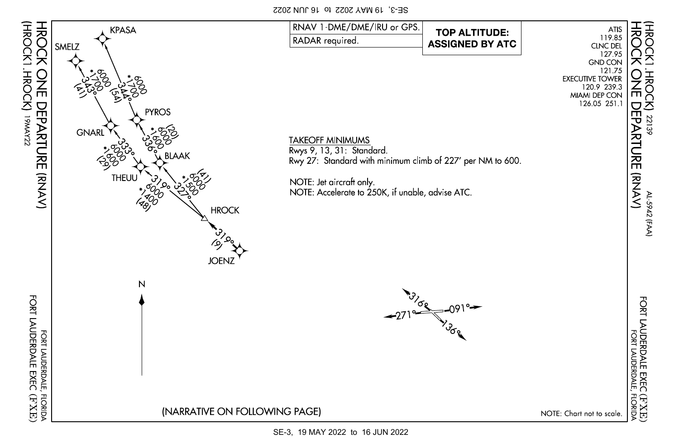SE-3, 19 MAY 2022 to 16 JUN 2022

(HROCK1.HROCK)

공<br>증

天天

22139

즈

AL-5942 (FAA)

AL 5942 (FAA)

FORT LAUDERDALE EXEC